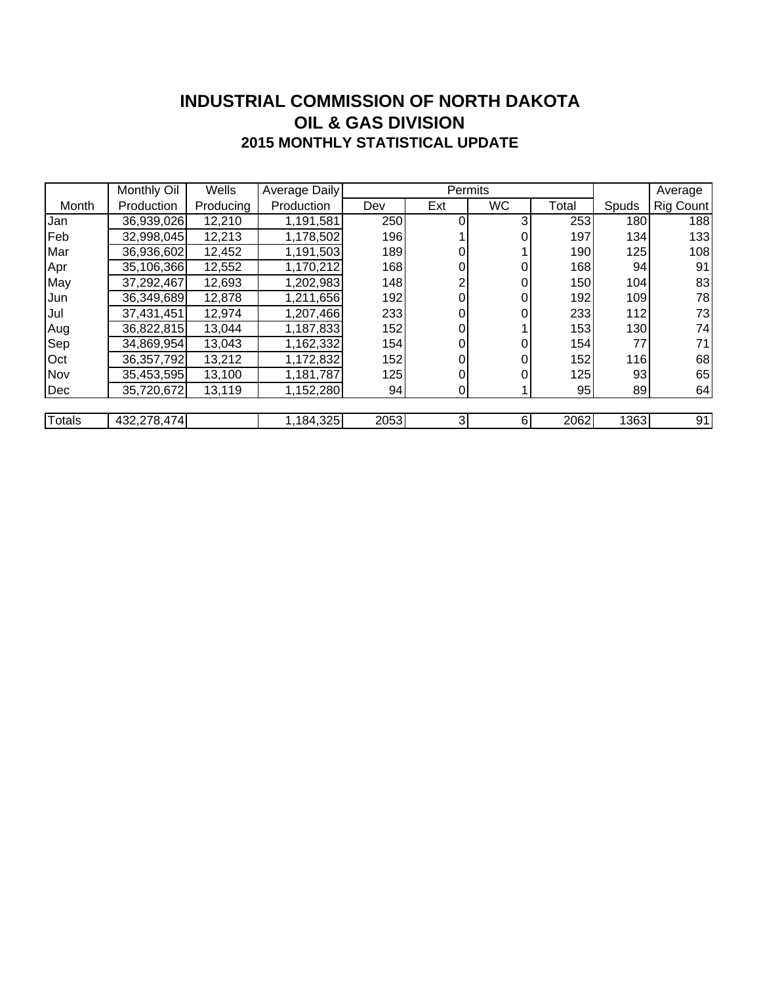### **INDUSTRIAL COMMISSION OF NORTH DAKOTA 2015 MONTHLY STATISTICAL UPDATE OIL & GAS DIVISION**

|        | Monthly Oil  | Wells     | Average Daily |      | Permits |           |       | Average |           |
|--------|--------------|-----------|---------------|------|---------|-----------|-------|---------|-----------|
| Month  | Production   | Producing | Production    | Dev  | Ext     | <b>WC</b> | Total | Spuds   | Rig Count |
| Jan    | 36,939,026   | 12,210    | 1,191,581     | 250  |         |           | 253   | 180     | 188       |
| Feb    | 32,998,045   | 12,213    | 1,178,502     | 196  |         |           | 197   | 134     | 133       |
| Mar    | 36,936,602   | 12,452    | 1,191,503     | 189  |         |           | 190   | 125     | 108       |
| Apr    | 35,106,366   | 12,552    | 1,170,212     | 168  | 0       |           | 168   | 94      | 91        |
| May    | 37,292,467   | 12,693    | 1,202,983     | 148  |         |           | 150   | 104     | 83        |
| IJun   | 36,349,689   | 12,878    | 1,211,656     | 192  | 0       |           | 192   | 109     | 78        |
| Jul    | 37,431,451   | 12,974    | 1,207,466     | 233  | 0       |           | 233   | 112     | 73        |
| Aug    | 36,822,815   | 13,044    | 1,187,833     | 152  | 0       |           | 153   | 130     | 74        |
| Sep    | 34,869,954   | 13,043    | 1,162,332     | 154  | 0       |           | 154   | 77      | 71        |
| Oct    | 36, 357, 792 | 13,212    | 1,172,832     | 152  | 0       |           | 152   | 116     | 68        |
| Nov    | 35,453,595   | 13,100    | 1,181,787     | 125  |         |           | 125   | 93      | 65        |
| Dec    | 35,720,672   | 13,119    | 1,152,280     | 94   | 0       |           | 95    | 89      | 64        |
|        |              |           |               |      |         |           |       |         |           |
| Totals | 432,278,474  |           | 1,184,325     | 2053 | 3       | $6 \mid$  | 2062  | 1363    | 91        |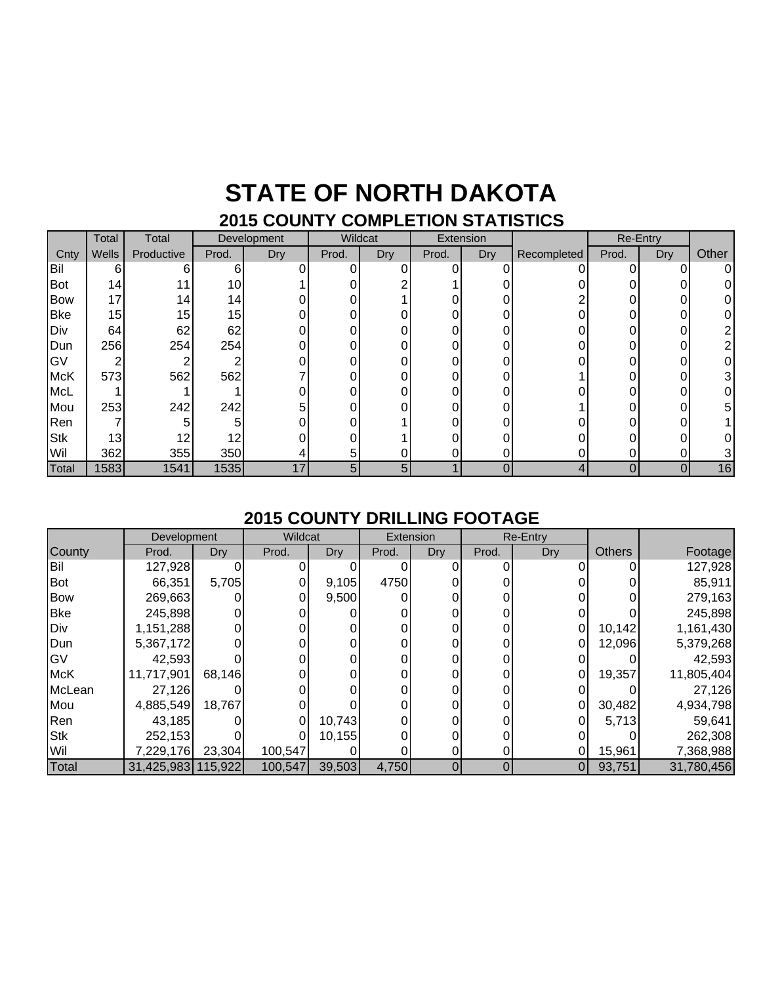### **STATE OF NORTH DAKOTA 2015 COUNTY COMPLETION STATISTICS**

|            | Total           | Total      | Development |     | Wildcat |     | Extension |     |             |       | Re-Entry |       |
|------------|-----------------|------------|-------------|-----|---------|-----|-----------|-----|-------------|-------|----------|-------|
| Cnty       | Wells           | Productive | Prod.       | Dry | Prod.   | Dry | Prod.     | Dry | Recompleted | Prod. | Dry      | Other |
| Bil        | 6               | 6          | 6           |     | 0       |     | 0         |     |             | O     | 0        | 0     |
| <b>Bot</b> | 14 <sub>1</sub> |            | 10          |     |         |     |           |     |             |       |          |       |
| <b>Bow</b> | 17              | 14         | 14          |     |         |     |           |     |             |       |          |       |
| <b>Bke</b> | 15              | 15         | 15          |     |         |     |           |     |             |       |          |       |
| Div        | 64              | 62         | 62          |     |         |     |           |     |             |       |          |       |
| Dun        | 256             | 254        | 254         |     |         |     |           |     |             |       |          |       |
| GV         | ⌒               |            |             |     |         |     |           |     |             |       |          |       |
| <b>McK</b> | 573             | 562        | 562         |     |         |     |           |     |             |       |          |       |
| <b>McL</b> |                 |            |             |     |         |     |           |     |             |       |          |       |
| Mou        | 253             | 242        | 242         |     |         |     |           |     |             |       |          | 5.    |
| Ren        |                 | 5          | 5           |     |         |     |           |     |             |       |          |       |
| <b>Stk</b> | 13              | 12         | 12          |     |         |     |           |     |             |       |          |       |
| Wil        | 362             | 355        | 350         |     |         |     |           |     |             |       |          |       |
| Total      | 1583            | 1541       | 1535        | 17  | 5       | 5   |           | 0   | 4           | 0     | 0        | 16    |

#### **2015 COUNTY DRILLING FOOTAGE**

|            | Development        |        | Wildcat |        | Extension |     | Re-Entry |            |               |            |
|------------|--------------------|--------|---------|--------|-----------|-----|----------|------------|---------------|------------|
| County     | Prod.              | Dry    | Prod.   | Dry    | Prod.     | Dry | Prod.    | <b>Dry</b> | <b>Others</b> | Footage    |
| Bil        | 127,928            |        |         |        |           |     |          |            |               | 127,928    |
| <b>Bot</b> | 66,351             | 5,705  |         | 9,105  | 4750      |     |          |            |               | 85,911     |
| <b>Bow</b> | 269,663            |        |         | 9,500  |           |     |          |            |               | 279,163    |
| <b>Bke</b> | 245,898            |        |         |        |           |     |          |            |               | 245,898    |
| Div        | 1,151,288          |        |         |        |           |     |          | 0          | 10,142        | 1,161,430  |
| Dun        | 5,367,172          |        |         |        |           |     |          |            | 12,096        | 5,379,268  |
| IG۷        | 42,593             |        |         |        |           |     |          |            |               | 42,593     |
| <b>McK</b> | 11,717,901         | 68,146 |         |        |           |     |          | 0          | 19,357        | 11,805,404 |
| McLean     | 27,126             |        |         |        |           |     |          |            |               | 27,126     |
| Mou        | 4,885,549          | 18,767 |         |        |           |     |          | 0          | 30,482        | 4,934,798  |
| Ren        | 43,185             |        |         | 10,743 |           |     |          |            | 5,713         | 59,641     |
| <b>Stk</b> | 252,153            |        |         | 10,155 |           |     |          |            |               | 262,308    |
| Wil        | 7,229,176          | 23,304 | 100,547 |        |           |     |          |            | 15,961        | 7,368,988  |
| Total      | 31,425,983 115,922 |        | 100,547 | 39,503 | 4,750     | 0   |          | 01         | 93,751        | 31,780,456 |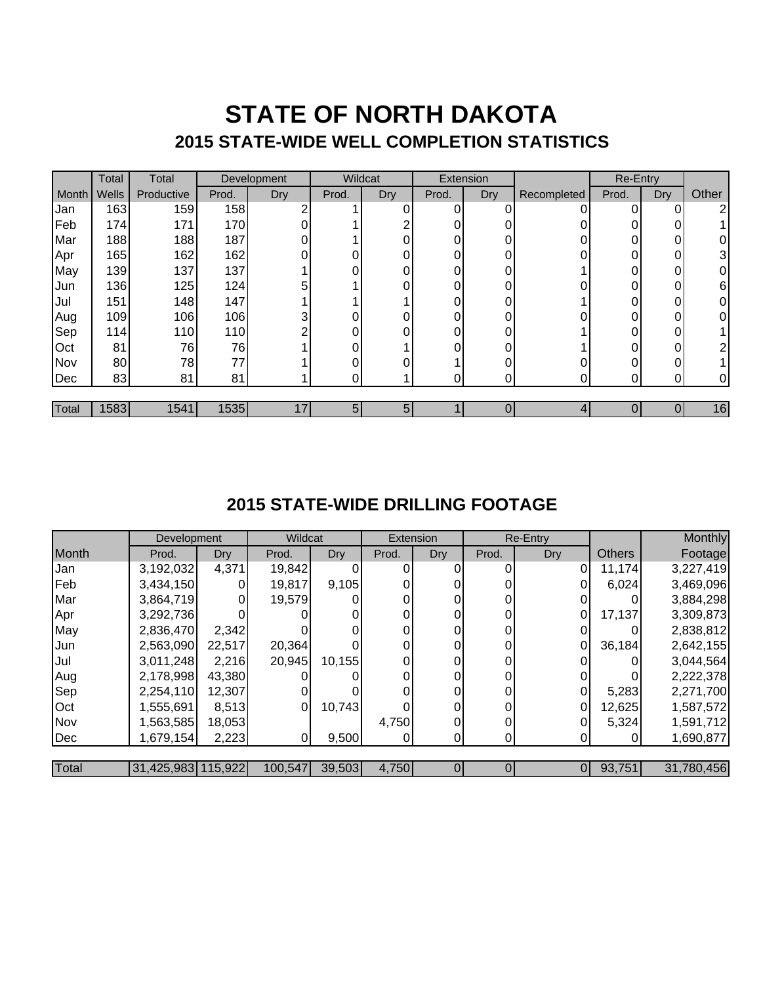## **STATE OF NORTH DAKOTA 2015 STATE-WIDE WELL COMPLETION STATISTICS**

|       | Total | Total      |       | Wildcat<br>Development |       |     | Extension |            |             | Re-Entry |     |       |
|-------|-------|------------|-------|------------------------|-------|-----|-----------|------------|-------------|----------|-----|-------|
| Month | Wells | Productive | Prod. | Dry                    | Prod. | Dry | Prod.     | <b>Dry</b> | Recompleted | Prod.    | Dry | Other |
| Jan   | 163   | 159        | 158   | ົ                      |       |     | 0         |            |             | 0        | 0   | 2     |
| Feb   | 174   | 171        | 170   | 0                      |       |     |           |            |             |          | 0   |       |
| Mar   | 188   | 188        | 187   | 0                      |       |     |           |            |             | $\Omega$ | 0   | 0     |
| Apr   | 165   | 162        | 162   | 0                      |       |     |           |            |             | 0        | 0   | 3     |
| May   | 139   | 137        | 137   |                        |       |     | 0         |            |             | 0        | 0   | 0     |
| Jun   | 136   | 125        | 124   | 5                      |       | ŋ   | $\Omega$  | በ          |             | 0        | 0   | 6     |
| Jul   | 151   | 148        | 147   |                        |       |     |           |            |             | 0        | 0   | 0     |
| Aug   | 109   | 106        | 106   | 3                      |       |     |           |            |             |          | 0   | 0     |
| Sep   | 114   | 110        | 110   | C                      |       |     | ∩         |            |             | O        | 0   |       |
| Oct   | 81    | 76         | 76    |                        |       |     |           |            |             | $\Omega$ | 0   | 2     |
| Nov   | 80    | 78         | 77    |                        |       |     |           |            |             | 0        | 0   |       |
| Dec   | 83    | 81         | 81    |                        |       |     |           |            |             | 0        | ი   | 0     |
|       |       |            |       |                        |       |     |           |            |             |          |     |       |
| Total | 1583  | 1541       | 1535  |                        | 5     | 5   |           |            |             |          |     | 16    |

### **2015 STATE-WIDE DRILLING FOOTAGE**

|       | Development        |            | Wildcat |            | Extension |     | Re-Entry |                |               | Monthly    |
|-------|--------------------|------------|---------|------------|-----------|-----|----------|----------------|---------------|------------|
| Month | Prod.              | <b>Dry</b> | Prod.   | <b>Dry</b> | Prod.     | Dry | Prod.    | <b>Dry</b>     | <b>Others</b> | Footage    |
| Jan   | 3,192,032          | 4,371      | 19,842  |            |           |     |          | 0              | 11,174        | 3,227,419  |
| Feb   | 3,434,150          |            | 19,817  | 9,105      |           |     |          |                | 6,024         | 3,469,096  |
| Mar   | 3,864,719          |            | 19,579  |            |           |     |          |                |               | 3,884,298  |
| Apr   | 3,292,736          |            |         |            |           |     | 0        | 0              | 17,137        | 3,309,873  |
| May   | 2,836,470          | 2,342      |         |            |           |     | $\Omega$ |                |               | 2,838,812  |
| Jun   | 2,563,090          | 22,517     | 20,364  |            |           |     |          |                | 36,184        | 2,642,155  |
| Jul   | 3,011,248          | 2,216      | 20,945  | 10,155     |           |     | 0        |                |               | 3,044,564  |
| Aug   | 2,178,998          | 43,380     |         |            |           |     | $\Omega$ |                |               | 2,222,378  |
| Sep   | 2,254,110          | 12,307     |         |            |           |     |          |                | 5,283         | 2,271,700  |
| Oct   | 1,555,691          | 8,513      | 0       | 10,743     |           |     | $\Omega$ | 0              | 12,625        | 1,587,572  |
| Nov   | 1,563,585          | 18,053     |         |            | 4,750     |     | $\Omega$ |                | 5,324         | 1,591,712  |
| Dec   | 1,679,154          | 2,223      | 01      | 9,500      |           |     | 0        |                |               | 1,690,877  |
|       |                    |            |         |            |           |     |          |                |               |            |
| Total | 31,425,983 115,922 |            | 100,547 | 39,503     | 4,750     |     | 0        | $\overline{0}$ | 93,751        | 31,780,456 |